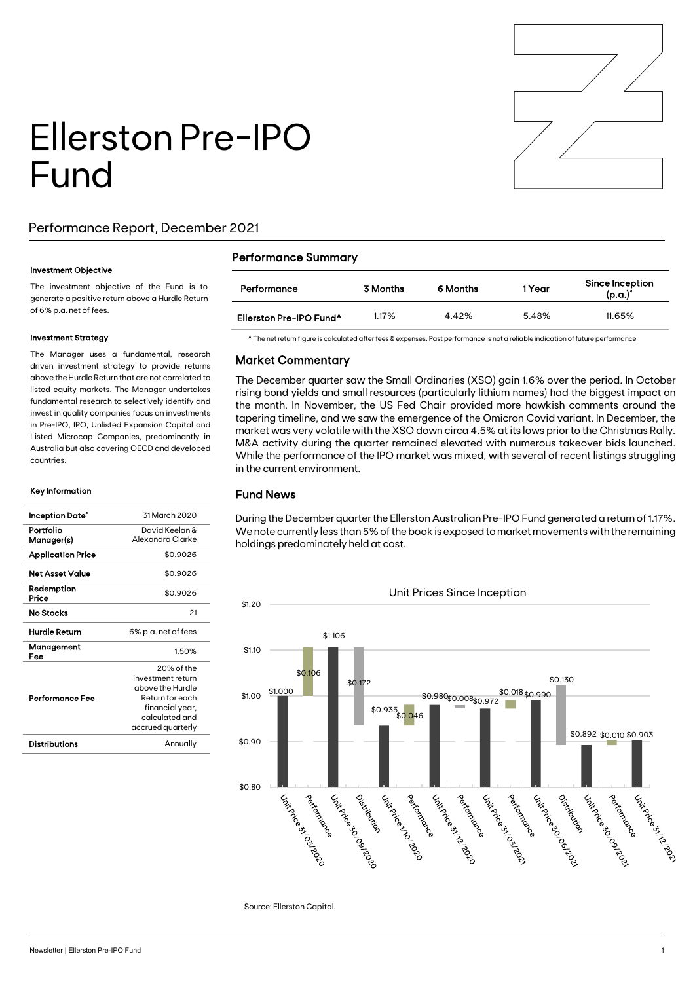

# Ellerston Pre-IPO Fund

### Performance Report, December 2021

#### Investment Objective

The investment objective of the Fund is to generate a positive return above a Hurdle Return of 6% p.a. net of fees.

#### Investment Strategy

The Manager uses a fundamental, research driven investment strategy to provide returns above the Hurdle Return that are not correlated to listed equity markets. The Manager undertakes fundamental research to selectively identify and invest in quality companies focus on investments in Pre-IPO, IPO, Unlisted Expansion Capital and Listed Microcap Companies, predominantly in Australia but also covering OECD and developed countries.

#### Key Information

| Inception Date*          | 31 March 2020       |  |  |
|--------------------------|---------------------|--|--|
| Portfolio                | David Keelan &      |  |  |
| Manager(s)               | Alexandra Clarke    |  |  |
| <b>Application Price</b> | \$0.9026            |  |  |
| Net Asset Value          | \$0.9026            |  |  |
| Redemption<br>Price      | \$0.9026            |  |  |
| No Stocks                | 21                  |  |  |
| Hurdle Return            | 6% p.a. net of fees |  |  |
| Management<br>Fee        | 1.50%               |  |  |
|                          | 20% of the          |  |  |
|                          | investment return   |  |  |
|                          | above the Hurdle    |  |  |
| Performance Fee          | Return for each     |  |  |
|                          | financial year,     |  |  |
|                          | calculated and      |  |  |
|                          | accrued quarterly   |  |  |
| <b>Distributions</b>     | Annually            |  |  |
|                          |                     |  |  |

#### Performance Summary

| Performance                         | 3 Months | 6 Months | 1 Year | Since Inception<br>$(p.a.)^*$ |
|-------------------------------------|----------|----------|--------|-------------------------------|
| Ellerston Pre-IPO Fund <sup>^</sup> | 1.17%    | 4.42%    | 5.48%  | 11.65%                        |

^ The net return figure is calculated after fees & expenses. Past performance is not a reliable indication of future performance

#### Market Commentary

The December quarter saw the Small Ordinaries (XSO) gain 1.6% over the period. In October rising bond yields and small resources (particularly lithium names) had the biggest impact on the month. In November, the US Fed Chair provided more hawkish comments around the tapering timeline, and we saw the emergence of the Omicron Covid variant. In December, the market was very volatile with the XSO down circa 4.5% at its lows prior to the Christmas Rally. M&A activity during the quarter remained elevated with numerous takeover bids launched. While the performance of the IPO market was mixed, with several of recent listings struggling in the current environment.

#### Fund News

During the December quarter the Ellerston Australian Pre-IPO Fund generated a return of 1.17%. We note currently less than 5% of the book is exposed to market movements with the remaining holdings predominately held at cost.



 $\overline{a}$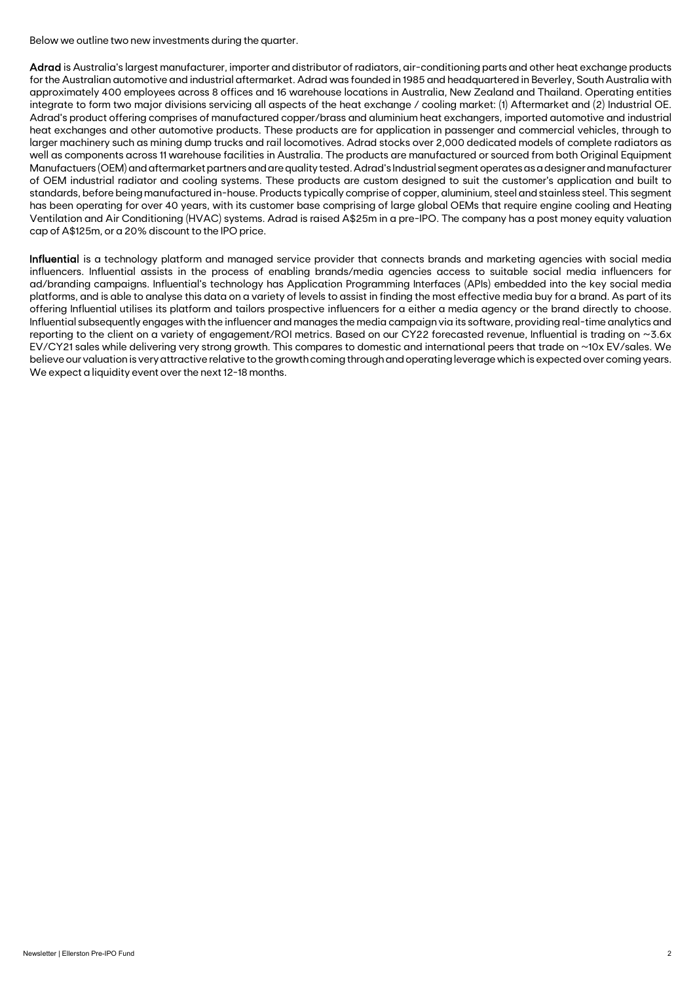Below we outline two new investments during the quarter.

Adrad is Australia's largest manufacturer, importer and distributor of radiators, air-conditioning parts and other heat exchange products for the Australian automotive and industrial aftermarket. Adrad was founded in 1985 and headquartered in Beverley, South Australia with approximately 400 employees across 8 offices and 16 warehouse locations in Australia, New Zealand and Thailand. Operating entities integrate to form two major divisions servicing all aspects of the heat exchange / cooling market: (1) Aftermarket and (2) Industrial OE. Adrad's product offering comprises of manufactured copper/brass and aluminium heat exchangers, imported automotive and industrial heat exchanges and other automotive products. These products are for application in passenger and commercial vehicles, through to larger machinery such as mining dump trucks and rail locomotives. Adrad stocks over 2,000 dedicated models of complete radiators as well as components across 11 warehouse facilities in Australia. The products are manufactured or sourced from both Original Equipment Manufactuers (OEM)and aftermarket partners and are quality tested. Adrad's Industrial segment operates as a designer and manufacturer of OEM industrial radiator and cooling systems. These products are custom designed to suit the customer's application and built to standards, before being manufactured in-house. Products typically comprise of copper, aluminium, steel and stainless steel. This segment has been operating for over 40 years, with its customer base comprising of large global OEMs that require engine cooling and Heating Ventilation and Air Conditioning (HVAC) systems. Adrad is raised A\$25m in a pre-IPO. The company has a post money equity valuation cap of A\$125m, or a 20% discount to the IPO price.

Influential is a technology platform and managed service provider that connects brands and marketing agencies with social media influencers. Influential assists in the process of enabling brands/media agencies access to suitable social media influencers for ad/branding campaigns. Influential's technology has Application Programming Interfaces (APIs) embedded into the key social media platforms, and is able to analyse this data on a variety of levels to assist in finding the most effective media buy for a brand. As part of its offering Influential utilises its platform and tailors prospective influencers for a either a media agency or the brand directly to choose. Influential subsequently engages with the influencer and manages the media campaign via its software, providing real-time analytics and reporting to the client on a variety of engagement/ROI metrics. Based on our CY22 forecasted revenue, Influential is trading on ~3.6x EV/CY21 sales while delivering very strong growth. This compares to domestic and international peers that trade on ~10x EV/sales. We believe our valuation is very attractive relative to the growth coming through and operating leverage which is expected over coming years. We expect a liquidity event over the next 12-18 months.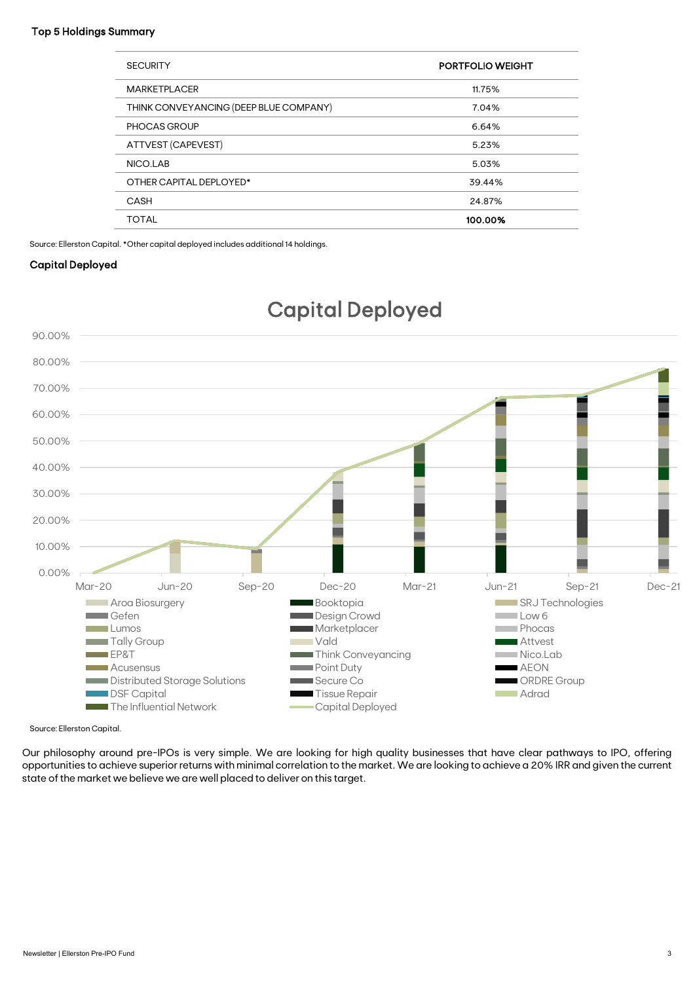#### Top 5 Holdings Summary

| <b>SECURITY</b>                        | <b>PORTFOLIO WEIGHT</b> |
|----------------------------------------|-------------------------|
| <b>MARKETPLACER</b>                    | 11.75%                  |
| THINK CONVEYANCING (DEEP BLUE COMPANY) | 7.04%                   |
| PHOCAS GROUP                           | 6.64%                   |
| ATTVEST (CAPEVEST)                     | 5.23%                   |
| NICO.LAB                               | 5.03%                   |
| OTHER CAPITAL DEPLOYED*                | 39.44%                  |
| CASH                                   | 24.87%                  |
| <b>TOTAL</b>                           | 100.00%                 |

Source: Ellerston Capital. \*Other capital deployed includes additional 14 holdings.

#### Capital Deployed



## Capital Deployed

Source: Ellerston Capital.

Our philosophy around pre-IPOs is very simple. We are looking for high quality businesses that have clear pathways to IPO, offering opportunities to achieve superior returns with minimal correlation to the market. We are looking to achieve a 20% IRR and given the current state of the market we believe we are well placed to deliver on this target.